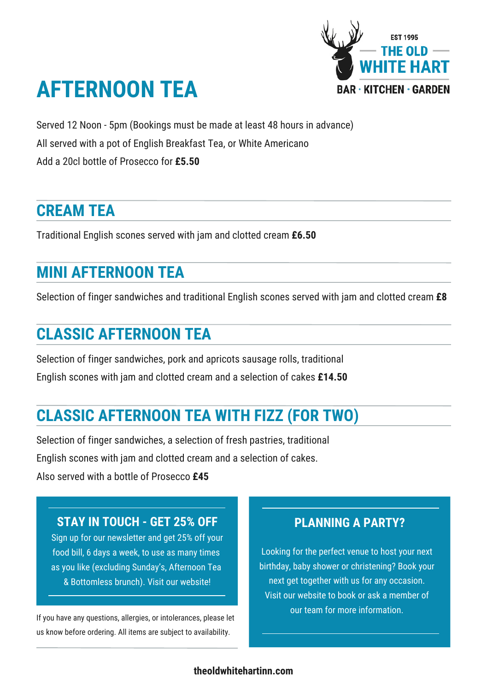

# **AFTERNOON TEA**

Served 12 Noon - 5pm (Bookings must be made at least 48 hours in advance)

All served with a pot of English Breakfast Tea, or White Americano

Add a 20cl bottle of Prosecco for **£5.50**

#### **CREAM TEA**

Traditional English scones served with jam and clotted cream **£6.50**

### **MINI AFTERNOON TEA**

Selection of finger sandwiches and traditional English scones served with jam and clotted cream **£8**

### **CLASSIC AFTERNOON TEA**

Selection of finger sandwiches, pork and apricots sausage rolls, traditional English scones with jam and clotted cream and a selection of cakes **£14.50**

## **CLASSIC AFTERNOON TEA WITH FIZZ (FOR TWO)**

Selection of finger sandwiches, a selection of fresh pastries, traditional English scones with jam and clotted cream and a selection of cakes. Also served with a bottle of Prosecco **£45**

#### **STAY IN TOUCH - GET 25% OFF**

Sign up for our newsletter and get 25% off your food bill, 6 days a week, to use as many times as you like (excluding Sunday's, Afternoon Tea & Bottomless brunch). Visit our website!

If you have any questions, allergies, or intolerances, please let us know before ordering. All items are subject to availability.

#### **PLANNING A PARTY?**

Looking for the perfect venue to host your next birthday, baby shower or christening? Book your next get together with us for any occasion. Visit our website to book or ask a member of our team for more information.

#### **theoldwhitehartinn.com**